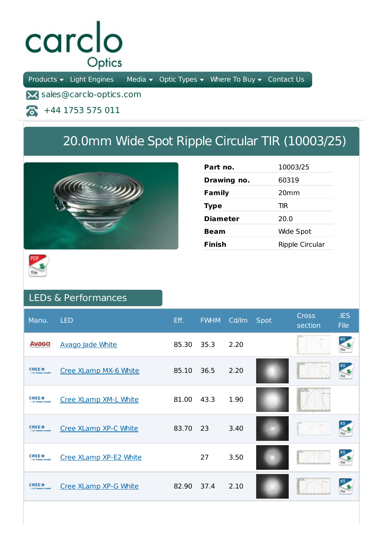## carclo Optics

Products  $\bullet$  Light Engines Media  $\bullet$  Optic Types  $\bullet$  Where To Buy  $\bullet$  Contact Us

**X** sales@carclo-optics.com

+44 1753 575 011 本

## 20.0mm Wide Spot Ripple Circular TIR (10003/25)



| Part no.        | 10003/25         |
|-----------------|------------------|
| Drawing no.     | 60319            |
| Family          | 20 <sub>mm</sub> |
| <b>Type</b>     | TIR              |
| <b>Diameter</b> | 20.0             |
| Beam            | Wide Spot        |
| Finish          | Ripple Circular  |



## LEDs & Performances

| Manu.                                                                  | <b>LED</b>              | Eff.  | <b>FWHM</b> | Cd/lm | Spot | <b>Cross</b><br>section | JES<br><b>File</b> |
|------------------------------------------------------------------------|-------------------------|-------|-------------|-------|------|-------------------------|--------------------|
| Avago                                                                  | <b>Avago Jade White</b> | 85.30 | 35.3        | 2.20  |      |                         |                    |
| <b>CREE</b> <sup><math>\bullet</math></sup><br>3-140 Salution Provide  | Cree XLamp MX-6 White   | 85.10 | 36.5        | 2.20  |      |                         |                    |
| <b>CREE</b> <sup><math>\oplus</math></sup><br>3-1-80 Salestine, Norado | Cree XLamp XM-L White   | 81.00 | 43.3        | 1.90  |      |                         |                    |
| <b>CREE</b> <sup><math>\oplus</math></sup>                             | Cree XLamp XP-C White   | 83.70 | 23          | 3.40  |      |                         |                    |
| <b>CREE</b> <sup><math>\oplus</math></sup><br>3-140 Salution Provide   | Cree XLamp XP-E2 White  |       | 27          | 3.50  |      |                         |                    |
| <b>CREE</b> <sup><math>\oplus</math></sup><br>5-140 Salvation Novally  | Cree XLamp XP-G White   | 82.90 | 37.4        | 2.10  |      |                         |                    |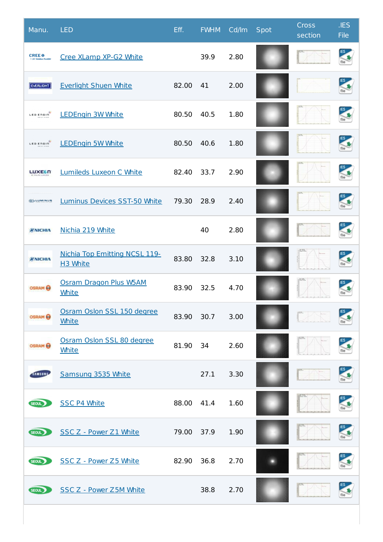| Manu.                                       | <b>LED</b>                                       | Eff.  | <b>FWHM</b> | Cd/Im | Spot | <b>Cross</b><br>section | .IES<br><b>File</b>     |
|---------------------------------------------|--------------------------------------------------|-------|-------------|-------|------|-------------------------|-------------------------|
| <b>CREE</b> <sup><math>\bullet</math></sup> | Cree XLamp XP-G2 White                           |       | 39.9        | 2.80  |      |                         |                         |
| <b>EVERLIGHT</b>                            | <b>Everlight Shuen White</b>                     | 82.00 | 41          | 2.00  |      |                         |                         |
| LED ENGIN                                   | <b>LEDEngin 3W White</b>                         | 80.50 | 40.5        | 1.80  |      |                         | file                    |
| LED ENGIN                                   | <b>LEDEngin 5W White</b>                         | 80.50 | 40.6        | 1.80  |      |                         |                         |
| <b>LUXES IT</b>                             | <b>Lumileds Luxeon C White</b>                   | 82.40 | 33.7        | 2.90  |      |                         | $\frac{1}{\text{file}}$ |
| <b>SELUMINUS</b>                            | Luminus Devices SST-50 White                     | 79.30 | 28.9        | 2.40  |      |                         |                         |
| <b>WNICHIA</b>                              | Nichia 219 White                                 |       | 40          | 2.80  |      |                         | file                    |
| <b>WNICHIA</b>                              | <b>Nichia Top Emitting NCSL 119-</b><br>H3 White | 83.80 | 32.8        | 3.10  |      | <b>HELL</b>             |                         |
| <b>OSRAM</b>                                | Osram Dragon Plus W5AM<br><b>White</b>           | 83.90 | 32.5        | 4.70  |      |                         |                         |
| <b>OSRAM</b>                                | Osram Oslon SSL 150 degree<br><b>White</b>       | 83.90 | 30.7        | 3.00  |      |                         |                         |
| <b>OSRAM</b>                                | Osram Oslon SSL 80 degree<br><b>White</b>        | 81.90 | 34          | 2.60  |      |                         |                         |
| SAMSUNG                                     | Samsung 3535 White                               |       | 27.1        | 3.30  |      |                         |                         |
| SEOUL                                       | <b>SSC P4 White</b>                              | 88.00 | 41.4        | 1.60  |      |                         | file                    |
| SEOUL                                       | SSC Z - Power Z1 White                           | 79.00 | 37.9        | 1.90  |      |                         |                         |
| SEOUL                                       | SSC Z - Power Z5 White                           | 82.90 | 36.8        | 2.70  |      |                         |                         |
| SEOUL                                       | SSC Z - Power Z5M White                          |       | 38.8        | 2.70  |      |                         |                         |